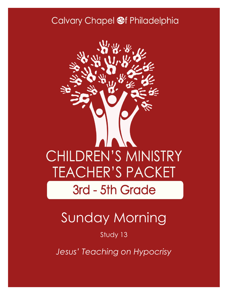#### Calvary Chapel @f Philadelphia



# Sunday Morning

Study 13

*Jesus' Teaching on Hypocrisy*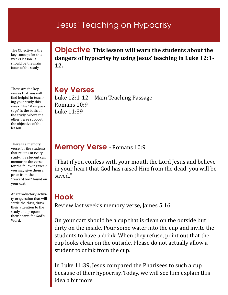#### Jesus' Teaching on Hypocrisy

The Objective is the key concept for this weeks lesson. It should be the main focus of the study

These are the key verses that you will find helpful in teaching your study this week. The "Main passage" is the basis of the study, where the other verse support the objective of the lesson.

There is a memory verse for the students that relates to every study. If a student can memorize the verse for the following week you may give them a prize from the "reward box" found on your cart.

An introductory activity or question that will settle the class, draw their attention to the study and prepare their hearts for God's Word.

**Objective This lesson will warn the students about the dangers of hypocrisy by using Jesus' teaching in Luke 12:1- 12.**

**Key Verses** Luke 12:1-12—Main Teaching Passage Romans 10:9 Luke 11:39

#### **Memory Verse** - Romans 10:9

"That if you confess with your mouth the Lord Jesus and believe in your heart that God has raised Him from the dead, you will be saved."

#### **Hook**

Review last week's memory verse, James 5:16.

On your cart should be a cup that is clean on the outside but dirty on the inside. Pour some water into the cup and invite the students to have a drink. When they refuse, point out that the cup looks clean on the outside. Please do not actually allow a student to drink from the cup.

In Luke 11:39, Jesus compared the Pharisees to such a cup because of their hypocrisy. Today, we will see him explain this idea a bit more.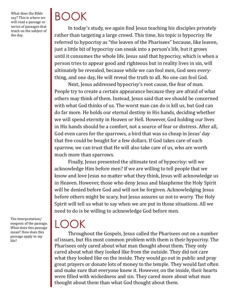What does the Bible say? This is where we will read a passage or series of passages that teach on the subject of the day.

## BOOK

In today's study, we again find Jesus teaching his disciples privately rather than targeting a large crowd. This time, his topic is hypocrisy. He referred to hypocrisy as "the leaven of the Pharisees" because, like leaven, just a little bit of hypocrisy can sneak into a person's life, but it grows until it consumes the whole life. Jesus said that hypocrisy, which is when a person tries to appear good and righteous but in reality lives in sin, will ultimately be revealed, because while we can fool men, God sees everything, and one day, He will reveal the truth to all. No one can fool God.

Next, Jesus addressed hypocrisy's root cause, the fear of man. People try to create a certain appearance because they are afraid of what others may think of them. Instead, Jesus said that we should be concerned with what God thinks of us. The worst man can do is kill us, but God can do far more. He holds our eternal destiny in His hands, deciding whether we will spend eternity in Heaven or Hell. However, God holding our lives in His hands should be a comfort, not a source of fear or distress. After all, God even cares for the sparrows, a bird that was so cheap in Jesus' day that five could be bought for a few dollars. If God takes care of each sparrow, we can trust that He will also take care of us, who are worth much more than sparrows.

Finally, Jesus presented the ultimate test of hypocrisy: will we acknowledge Him before men? If we are willing to tell people that we know and love Jesus no matter what they think, Jesus will acknowledge us in Heaven. However, those who deny Jesus and blaspheme the Holy Spirit will be denied before God and will not be forgiven. Acknowledging Jesus before others might be scary, but Jesus assures us not to worry. The Holy Spirit will tell us what to say when we are put in those situations. All we need to do is be willing to acknowledge God before men.

The interpretation/ exegesis of the passage. What does this passage mean? How does this passage apply to my life?

### $\overline{\phantom{a}}$

Throughout the Gospels, Jesus called the Pharisees out on a number of issues, but His most common problem with them is their hypocrisy. The Pharisees only cared about what man thought about them. They only cared about what they looked like from the outside. They did not care what they looked like on the inside. They would go out in public and pray great prayers or donate lots of money to the temple. They would fast often and make sure that everyone knew it. However, on the inside, their hearts were filled with wickedness and sin. They cared more about what man thought about them than what God thought about them.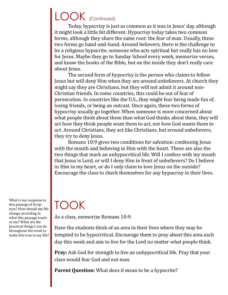### LOOK (Continued)

Today, hypocrisy is just as common as it was in Jesus' day, although it might look a little bit different. Hypocrisy today takes two common forms, although they share the same root: the fear of man. Usually, these two forms go hand-and-hand. Around believers, there is the challenge to be a religious hypocrite, someone who acts spiritual but really has no love for Jesus. Maybe they go to Sunday School every week, memorize verses, and know the books of the Bible, but on the inside they don't really care about Jesus.

The second form of hypocrisy is the person who claims to follow Jesus but will deny Him when they are around unbelievers. At church they might say they are Christians, but they will not admit it around non-Christian friends. In some countries, this could be out of fear of persecution. In countries like the U.S., they might fear being made fun of, losing friends, or being an outcast. Once again, these two forms of hypocrisy usually go together. When someone is more concerned about what people think about them than what God thinks about them, they will act how they think people want them to act, not how God wants them to act. Around Christians, they act like Christians, but around unbelievers, they try to deny Jesus.

Romans 10:9 gives two conditions for salvation: confessing Jesus with the mouth and believing in Him with the heart. These are also the two things that mark an unhypocritical life. Will I confess with my mouth that Jesus is Lord, or will I deny Him in front of unbelievers? Do I believe in Him in my heart, or do I only claim to love Jesus on the outside? Encourage the class to check themselves for any hypocrisy in their lives.

### TOOK

As a class, memorize Romans 10:9.

Have the students think of an area in their lives where they may be tempted to be hypocritical. Encourage them to pray about this area each day this week and aim to live for the Lord no matter what people think.

**Pray:** Ask God for strength to live an unhypocritical life. Pray that your class would fear God and not man.

**Parent Question:** What does it mean to be a hypocrite?

What is my response to this passage of Scripture? How should my life change according to what this passage teaches me? What are the practical things I can do throughout the week to make this true in my life?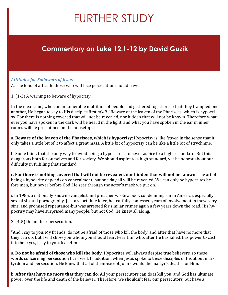## FURTHER STUDY

#### **Commentary on Luke 12:1-12 by David Guzik**

#### *Attitudes for Followers of Jesus*

A. The kind of attitude those who will face persecution should have.

1. (1-3) A warning to beware of hypocrisy.

In the meantime, when an innumerable multitude of people had gathered together, so that they trampled one another, He began to say to His disciples first *of all,* "Beware of the leaven of the Pharisees, which is hypocrisy. For there is nothing covered that will not be revealed, nor hidden that will not be known. Therefore whatever you have spoken in the dark will be heard in the light, and what you have spoken in the ear in inner rooms will be proclaimed on the housetops.

a. **Beware of the leaven of the Pharisees, which is hypocrisy**: Hypocrisy is like *leaven* in the sense that it only takes a little bit of it to affect a great mass. A little bit of hypocrisy can be like a little bit of strychnine.

b. Some think that the only way to avoid being a hypocrite is to never aspire to a higher standard. But this is dangerous both for ourselves and for society. We should aspire to a high standard, yet be honest about our difficulty in fulfilling that standard.

c. **For there is nothing covered that will not be revealed, nor hidden that will not be known**: The art of being a hypocrite depends on concealment, but one day all will be revealed. We can only be hypocrites before men, but never before God. He sees through the actor's mask we put on.

i. In 1985, a nationally known evangelist and preacher wrote a book condemning sin in America, especially sexual sin and pornography. Just a short time later, he tearfully confessed years of involvement in these very sins, and promised repentance-but was arrested for similar crimes again a few years down the road. His hypocrisy may have surprised many people, but not God. He knew all along.

2. (4-5) Do not fear persecution.

"And I say to you, My friends, do not be afraid of those who kill the body, and after that have no more that they can do. But I will show you whom you should fear: Fear Him who, after He has killed, has power to cast into hell; yes, I say to you, fear Him!"

a. **Do not be afraid of those who kill the body**: Hypocrites will always despise true believers, so these words concerning persecution fit in well. In addition, when Jesus spoke to these disciples of His about martyrdom and persecution, He knew that all of them-except John - would die martyr's deaths for Him.

b. **After that have no more that they can do**: All your persecutors can do is kill you, and God has ultimate power over the life and death of the believer. Therefore, we shouldn't fear our persecutors, but have a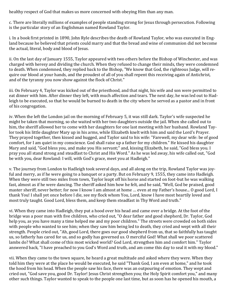healthy respect of God that makes us more concerned with obeying Him than any man.

c. There are literally millions of examples of people standing strong for Jesus through persecution. Following is the particular story of an Englishman named Rowland Taylor.

i. In a book first printed in 1890, John Ryle describes the death of Rowland Taylor, who was executed in England because he believed that priests could marry and that the bread and wine of communion did not become the actual, literal, body and blood of Jesus.

ii. On the last day of January 1555, Taylor appeared with two others before the Bishop of Winchester, and was charged with heresy and dividing the church. When they refused to change their minds, they were condemned to death. When condemned, they replied back to the Bishop, "We know that God, the righteous Judge, will require our blood at your hands, and the proudest of all of you shall repent this receiving again of Antichrist, and of the tyranny you now show against the flock of Christ."

iii. On February 4, Taylor was kicked out of the priesthood, and that night, his wife and son were permitted to eat dinner with him. After dinner they left, with much affection and tears. The next day, he was led out to Hadleigh to be executed, so that he would be burned to death in the city where he served as a pastor and in front of his congregation.

iv. When the left the London jail on the morning of February 5, it was still dark. Taylor's wife suspected he might be taken that morning, so she waited with her two daughters outside the jail. When she called out to him, the sheriff allowed her to come with her daughters for one last meeting with her husband. Rowland Taylor took his little daughter Mary up in his arms, while Elizabeth knelt with him and said the Lord's Prayer. They prayed together, then kissed and hugged, and Taylor said to his wife: "Farewell, my dear wife: be of good comfort, for I am quiet in my conscience. God shall raise up a father for my children." He kissed his daughter Mary and said, "God bless you, and make you His servant;" and, kissing Elizabeth, he said, "God bless you. I pray you all stand strong and steadfast to Christ and His Word." As he was led away, his wife called out, "God be with you, dear Rowland: I will, with God's grace, meet you at Hadleigh."

v. The journey from London to Hadleigh took several days, and all along on the trip, Rowland Taylor was joyful and merry, as if he were going to a banquet or a party. But on February 9, 1555, they came into Hadleigh. When they were still two miles from town, Taylor leapt off his horse and started on foot-but he was walking fast, almost as if he were dancing. The sheriff asked him how he felt, and he said, "Well, God be praised, good master sheriff, never better; for now I know I am almost at home … even at my Father's house... O good Lord, I thank You! I shall yet once before I die, see my flock whom You, Lord, know I have most heartily loved and most truly taught. Good Lord, bless them, and keep them steadfast in Thy Word and truth."

vi. When they came into Hadleigh, they put a hood over his head and came over a bridge. At the foot of the bridge was a poor man with five children, who cried out, "O dear father and good shepherd, Dr. Taylor, God help you, as you have many a time helped me and my poor children." The streets were crowded on both sides with people who wanted to see him; when they saw him being led to death, they cried and wept with all their strength. People cried out, "Ah, good Lord, there goes our good shepherd from us, that so faithfully has taught us, so fatherly has cared for us, and so godly has governed us. O merciful God! What shall we poor scattered lambs do? What shall come of this most wicked world? God Lord, strengthen him and comfort him." Taylor answered back, "I have preached to you God's Word and truth, and am come this day to seal it with my blood."

vii. When they came to the town square, he heard a great multitude and asked where they were. When they told him they were at the place he would be executed, he said "Thank God, I am even at home," and he took the hood from his head. When the people saw his face, there was an outpouring of emotion. They wept and cried out, "God save you, good Dr. Taylor! Jesus Christ strengthen you; the Holy Spirit comfort you," and many other such things. Taylor wanted to speak to the people one last time, but as soon has he opened his mouth, a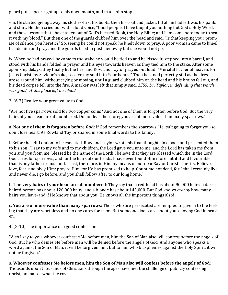guard put a spear right up to his open mouth, and made him stop.

viii. He started giving away his clothes-first his boots, then his coat and jacket, till all he had left was his pants and shirt. He then cried out with a loud voice, "Good people, I have taught you nothing but God's Holy Word, and those lessons that I have taken out of God's blessed Book, the Holy Bible; and I am come here today to seal it with my blood." But then one of the guards clubbed him over the head and said, "Is that keeping your promise of silence, you heretic?" So, seeing he could not speak, he knelt down to pray. A poor woman came to kneel beside him and pray, and the guards tried to push her away but she would not go.

ix. When he had prayed, he came to the stake he would be tied to and he kissed it, stepped into a barrel, and stood with his hands folded in prayer and his eyes towards heaven as they tied him to the stake. After some agonizing delays, they finally lit the fire, and Rowland Taylor prayed out loud: "Merciful Father of heaven, for Jesus Christ my Saviour's sake, receive my soul into Your hands." Then he stood perfectly still as the fires arose around him, without crying or moving, until a guard clubbed him on the head and his brains fell out, and his dead corpse fell into the fire. A marker was left that simply said, *1555: Dr. Taylor, in defending that which was good, at this place left his blood.*

3. (6-7) Realize your great value to God.

"Are not five sparrows sold for two copper coins? And not one of them is forgotten before God. But the very hairs of your head are all numbered. Do not fear therefore; you are of more value than many sparrows."

a. **Not one of them is forgotten before God**: If God remembers the sparrows, He isn't going to forget you-so don't lose heart. As Rowland Taylor shared in some final words to his family:

i. Before he left London to be executed, Rowland Taylor wrote his final thoughts in a book and presented them to his son: "I say to my wife and to my children, the Lord gave you unto me, and the Lord has taken me from you and you from me: blessed be the name of the Lord! I believe that they are blessed which die in the Lord. God cares for sparrows, and for the hairs of our heads. I have ever found Him more faithful and favourable than is any father or husband. Trust, therefore, in Him by means of our dear Savior Christ's merits. Believe, love, fear, and obey Him: pray to Him, for He has promised to help. Count me not dead, for I shall certainly live and never die. I go before, and you shall follow after to our long home."

b. **The very hairs of your head are all numbered**: They say that a red-head has about 90,000 hairs; a darkhaired person has about 120,000 hairs, and a blonde has about 145,000. But God knows *exactly* how many hairs you have-and if He knows that about you, He knows all the important things also!

c. **You are of more value than many sparrows**: Those who are persecuted are tempted to give in to the feeling that they are worthless and no one cares for them. But someone does care about you, a loving God in heaven.

4. (8-10) The importance of a good confession.

"Also I say to you, whoever confesses Me before men, him the Son of Man also will confess before the angels of God. But he who denies Me before men will be denied before the angels of God. And anyone who speaks a word against the Son of Man, it will be forgiven him; but to him who blasphemes against the Holy Spirit, it will not be forgiven."

a. **Whoever confesses Me before men, him the Son of Man also will confess before the angels of God**: Thousands upon thousands of Christians through the ages have met the challenge of publicly confessing Christ, no matter what the cost.